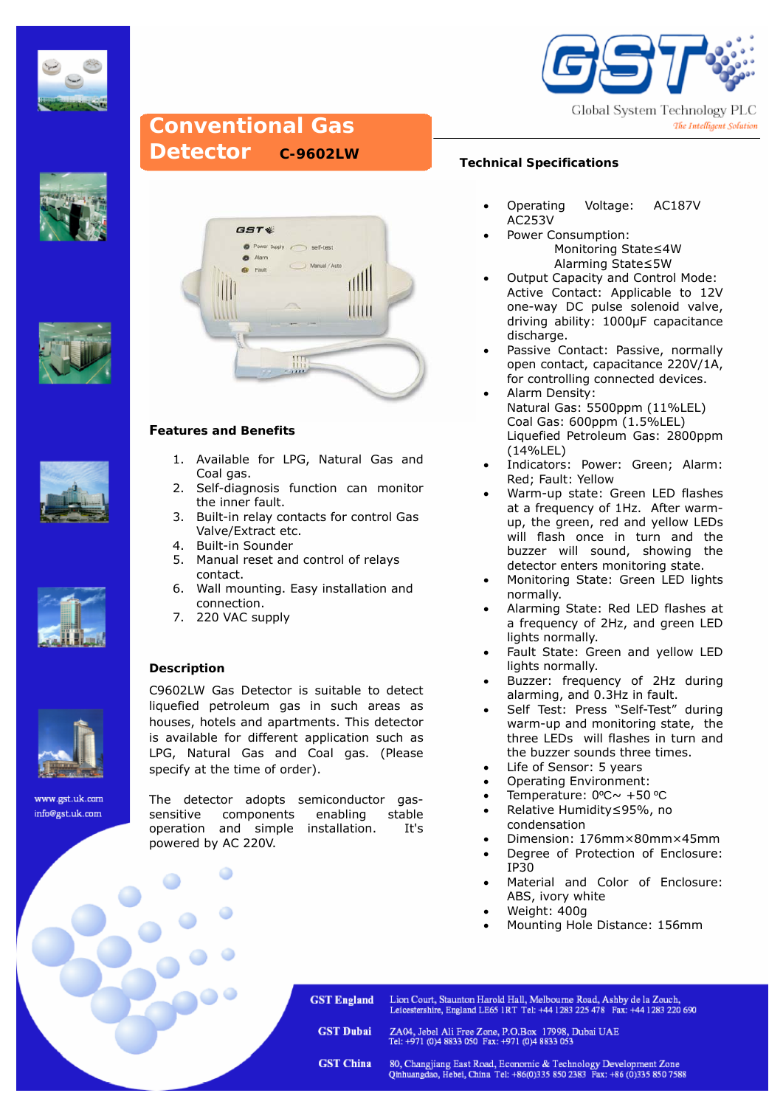



## **Conventional Gas Detector C-9602LW**











www.gst.uk.com info@gst.uk.com



### **Features and Benefits**

- 1. Available for LPG, Natural Gas and Coal gas.
- 2. Self-diagnosis function can monitor the inner fault.
- 3. Built-in relay contacts for control Gas Valve/Extract etc.
- 4. Built-in Sounder
- 5. Manual reset and control of relays contact.
- 6. Wall mounting. Easy installation and connection.
- 7. 220 VAC supply

### **Description**

Ï

C9602LW Gas Detector is suitable to detect liquefied petroleum gas in such areas as houses, hotels and apartments. This detector is available for different application such as LPG, Natural Gas and Coal gas. (Please specify at the time of order).

The detector adopts semiconductor gassensitive components enabling stable operation and simple installation. It's powered by AC 220V.

### **Technical Specifications**

- Operating Voltage: AC187V AC253V
- Power Consumption: Monitoring State≤4W Alarming State≤5W
- Output Capacity and Control Mode: Active Contact: Applicable to 12V one-way DC pulse solenoid valve, driving ability: 1000μF capacitance discharge.
- Passive Contact: Passive, normally open contact, capacitance 220V/1A, for controlling connected devices.
- Alarm Density: Natural Gas: 5500ppm (11%LEL) Coal Gas: 600ppm (1.5%LEL) Liquefied Petroleum Gas: 2800ppm (14%LEL)
- Indicators: Power: Green; Alarm: Red; Fault: Yellow
- Warm-up state: Green LED flashes at a frequency of 1Hz. After warmup, the green, red and yellow LEDs will flash once in turn and the buzzer will sound, showing the detector enters monitoring state.
- Monitoring State: Green LED lights normally.
- Alarming State: Red LED flashes at a frequency of 2Hz, and green LED lights normally.
- Fault State: Green and yellow LED lights normally.
- Buzzer: frequency of 2Hz during alarming, and 0.3Hz in fault.
- Self Test: Press "Self-Test" during warm-up and monitoring state, the three LEDs will flashes in turn and the buzzer sounds three times.
- Life of Sensor: 5 years
- Operating Environment:
- Temperature: 0ºC~ +50 ºC
- Relative Humidity≤95%, no condensation
- Dimension: 176mm×80mm×45mm
- Degree of Protection of Enclosure: IP30
- Material and Color of Enclosure: ABS, ivory white
- Weight: 400g
- Mounting Hole Distance: 156mm

**GST England** Lion Court, Staunton Harold Hall, Melbourne Road, Ashby de la Zouch, Leicestershire, England LE65 1RT Tel: +44 1283 225 478 Fax: +44 1283 220 690

**GST Dubai** 

**GST China** 

ZA04, Jebel Ali Free Zone, P.O.Box 17998, Dubai UAE<br>Tel: +971 (0)4 8833 050 Fax: +971 (0)4 8833 053

80, Changjiang East Road, Economic & Technology Development Zone<br>Qinhuangdao, Hebei, China Tel: +86(0)335 850 2383 Fax: +86 (0)335 850 7588